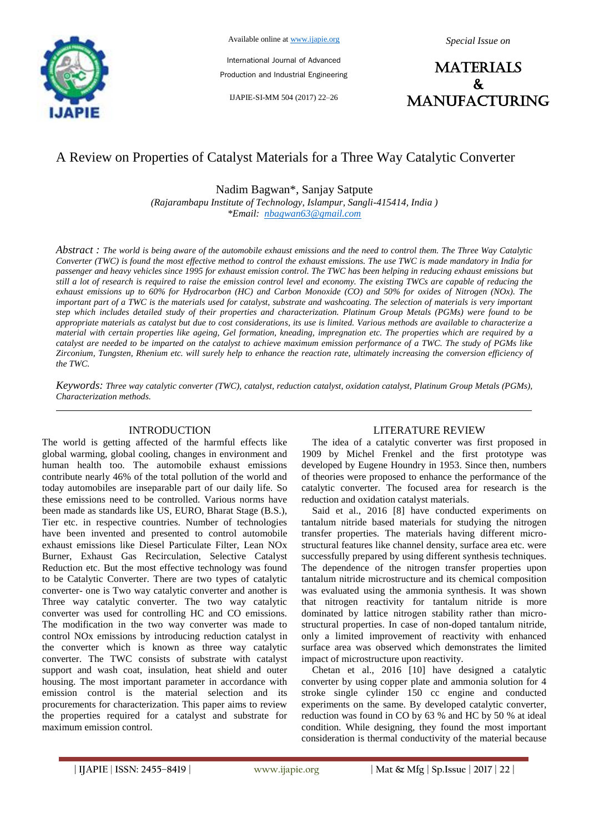

Available online at www.ijapie.org

International Journal of Advanced Production and Industrial Engineering

IJAPIE-SI-MM 504 (2017) 22–26

*Special Issue on*

**MATERIALS**  $\mathbf{k}$ manufacturing

# A Review on Properties of Catalyst Materials for a Three Way Catalytic Converter

Nadim Bagwan\*, Sanjay Satpute

*(Rajarambapu Institute of Technology, Islampur, Sangli-415414, India ) \*Email: nbagwan63@gmail.com*

*Abstract : The world is being aware of the automobile exhaust emissions and the need to control them. The Three Way Catalytic Converter (TWC) is found the most effective method to control the exhaust emissions. The use TWC is made mandatory in India for passenger and heavy vehicles since 1995 for exhaust emission control. The TWC has been helping in reducing exhaust emissions but still a lot of research is required to raise the emission control level and economy. The existing TWCs are capable of reducing the exhaust emissions up to 60% for Hydrocarbon (HC) and Carbon Monoxide (CO) and 50% for oxides of Nitrogen (NOx). The important part of a TWC is the materials used for catalyst, substrate and washcoating. The selection of materials is very important step which includes detailed study of their properties and characterization. Platinum Group Metals (PGMs) were found to be appropriate materials as catalyst but due to cost considerations, its use is limited. Various methods are available to characterize a material with certain properties like ageing, Gel formation, kneading, impregnation etc. The properties which are required by a catalyst are needed to be imparted on the catalyst to achieve maximum emission performance of a TWC. The study of PGMs like Zirconium, Tungsten, Rhenium etc. will surely help to enhance the reaction rate, ultimately increasing the conversion efficiency of the TWC.* 

*Keywords: Three way catalytic converter (TWC), catalyst, reduction catalyst, oxidation catalyst, Platinum Group Metals (PGMs), Characterization methods.*

# INTRODUCTION

The world is getting affected of the harmful effects like global warming, global cooling, changes in environment and human health too. The automobile exhaust emissions contribute nearly 46% of the total pollution of the world and today automobiles are inseparable part of our daily life. So these emissions need to be controlled. Various norms have been made as standards like US, EURO, Bharat Stage (B.S.), Tier etc. in respective countries. Number of technologies have been invented and presented to control automobile exhaust emissions like Diesel Particulate Filter, Lean NOx Burner, Exhaust Gas Recirculation, Selective Catalyst Reduction etc. But the most effective technology was found to be Catalytic Converter. There are two types of catalytic converter- one is Two way catalytic converter and another is Three way catalytic converter. The two way catalytic converter was used for controlling HC and CO emissions. The modification in the two way converter was made to control NOx emissions by introducing reduction catalyst in the converter which is known as three way catalytic converter. The TWC consists of substrate with catalyst support and wash coat, insulation, heat shield and outer housing. The most important parameter in accordance with emission control is the material selection and its procurements for characterization. This paper aims to review the properties required for a catalyst and substrate for maximum emission control.

# LITERATURE REVIEW

The idea of a catalytic converter was first proposed in 1909 by Michel Frenkel and the first prototype was developed by Eugene Houndry in 1953. Since then, numbers of theories were proposed to enhance the performance of the catalytic converter. The focused area for research is the reduction and oxidation catalyst materials.

Said et al., 2016 [8] have conducted experiments on tantalum nitride based materials for studying the nitrogen transfer properties. The materials having different microstructural features like channel density, surface area etc. were successfully prepared by using different synthesis techniques. The dependence of the nitrogen transfer properties upon tantalum nitride microstructure and its chemical composition was evaluated using the ammonia synthesis. It was shown that nitrogen reactivity for tantalum nitride is more dominated by lattice nitrogen stability rather than microstructural properties. In case of non-doped tantalum nitride, only a limited improvement of reactivity with enhanced surface area was observed which demonstrates the limited impact of microstructure upon reactivity.

Chetan et al., 2016 [10] have designed a catalytic converter by using copper plate and ammonia solution for 4 stroke single cylinder 150 cc engine and conducted experiments on the same. By developed catalytic converter, reduction was found in CO by 63 % and HC by 50 % at ideal condition. While designing, they found the most important consideration is thermal conductivity of the material because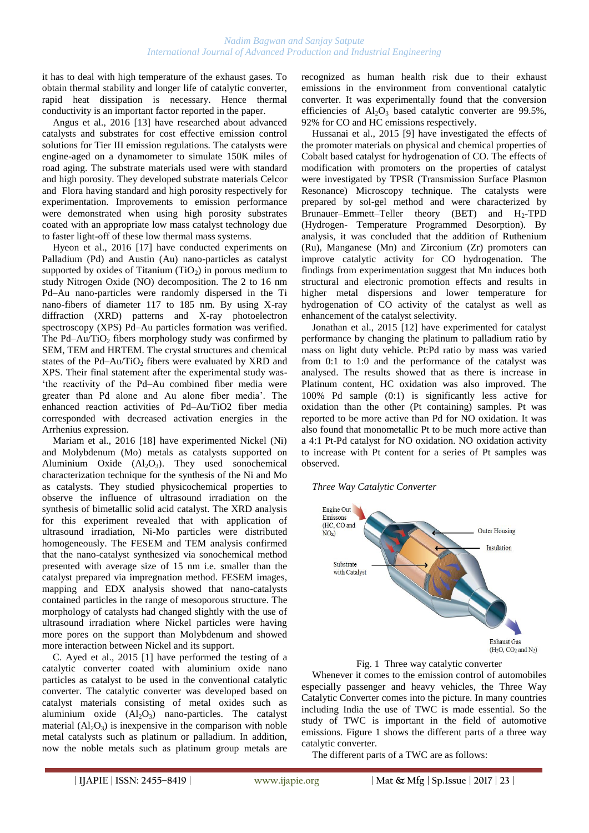it has to deal with high temperature of the exhaust gases. To obtain thermal stability and longer life of catalytic converter, rapid heat dissipation is necessary. Hence thermal conductivity is an important factor reported in the paper.

Angus et al., 2016 [13] have researched about advanced catalysts and substrates for cost effective emission control solutions for Tier III emission regulations. The catalysts were engine-aged on a dynamometer to simulate 150K miles of road aging. The substrate materials used were with standard and high porosity. They developed substrate materials Celcor and Flora having standard and high porosity respectively for experimentation. Improvements to emission performance were demonstrated when using high porosity substrates coated with an appropriate low mass catalyst technology due to faster light-off of these low thermal mass systems.

Hyeon et al., 2016 [17] have conducted experiments on Palladium (Pd) and Austin (Au) nano-particles as catalyst supported by oxides of Titanium  $(TiO<sub>2</sub>)$  in porous medium to study Nitrogen Oxide (NO) decomposition. The 2 to 16 nm Pd–Au nano-particles were randomly dispersed in the Ti nano-fibers of diameter 117 to 185 nm. By using X-ray diffraction (XRD) patterns and X-ray photoelectron spectroscopy (XPS) Pd–Au particles formation was verified. The Pd–Au/TiO<sub>2</sub> fibers morphology study was confirmed by SEM, TEM and HRTEM. The crystal structures and chemical states of the Pd–Au/TiO<sub>2</sub> fibers were evaluated by XRD and XPS. Their final statement after the experimental study was- 'the reactivity of the Pd–Au combined fiber media were greater than Pd alone and Au alone fiber media'. The enhanced reaction activities of Pd–Au/TiO2 fiber media corresponded with decreased activation energies in the Arrhenius expression.

Mariam et al., 2016 [18] have experimented Nickel (Ni) and Molybdenum (Mo) metals as catalysts supported on Aluminium Oxide  $(Al_2O_3)$ . They used sonochemical characterization technique for the synthesis of the Ni and Mo as catalysts. They studied physicochemical properties to observe the influence of ultrasound irradiation on the synthesis of bimetallic solid acid catalyst. The XRD analysis for this experiment revealed that with application of ultrasound irradiation, Ni-Mo particles were distributed homogeneously. The FESEM and TEM analysis confirmed that the nano-catalyst synthesized via sonochemical method presented with average size of 15 nm i.e. smaller than the catalyst prepared via impregnation method. FESEM images, mapping and EDX analysis showed that nano-catalysts contained particles in the range of mesoporous structure. The morphology of catalysts had changed slightly with the use of ultrasound irradiation where Nickel particles were having more pores on the support than Molybdenum and showed more interaction between Nickel and its support.

C. Ayed et al., 2015 [1] have performed the testing of a catalytic converter coated with aluminium oxide nano particles as catalyst to be used in the conventional catalytic converter. The catalytic converter was developed based on catalyst materials consisting of metal oxides such as aluminium oxide  $(Al_2O_3)$  nano-particles. The catalyst material  $(A<sub>1</sub>, O<sub>3</sub>)$  is inexpensive in the comparison with noble metal catalysts such as platinum or palladium. In addition, now the noble metals such as platinum group metals are recognized as human health risk due to their exhaust emissions in the environment from conventional catalytic converter. It was experimentally found that the conversion efficiencies of  $Al_2O_3$  based catalytic converter are 99.5%, 92% for CO and HC emissions respectively.

Hussanai et al., 2015 [9] have investigated the effects of the promoter materials on physical and chemical properties of Cobalt based catalyst for hydrogenation of CO. The effects of modification with promoters on the properties of catalyst were investigated by TPSR (Transmission Surface Plasmon Resonance) Microscopy technique. The catalysts were prepared by sol-gel method and were characterized by Brunauer–Emmett–Teller theory (BET) and  $H_2$ -TPD (Hydrogen- Temperature Programmed Desorption). By analysis, it was concluded that the addition of Ruthenium (Ru), Manganese (Mn) and Zirconium (Zr) promoters can improve catalytic activity for CO hydrogenation. The findings from experimentation suggest that Mn induces both structural and electronic promotion effects and results in higher metal dispersions and lower temperature for hydrogenation of CO activity of the catalyst as well as enhancement of the catalyst selectivity.

Jonathan et al., 2015 [12] have experimented for catalyst performance by changing the platinum to palladium ratio by mass on light duty vehicle. Pt:Pd ratio by mass was varied from 0:1 to 1:0 and the performance of the catalyst was analysed. The results showed that as there is increase in Platinum content, HC oxidation was also improved. The 100% Pd sample (0:1) is significantly less active for oxidation than the other (Pt containing) samples. Pt was reported to be more active than Pd for NO oxidation. It was also found that monometallic Pt to be much more active than a 4:1 Pt-Pd catalyst for NO oxidation. NO oxidation activity to increase with Pt content for a series of Pt samples was observed.

*Three Way Catalytic Converter*



Fig. 1 Three way catalytic converter

Whenever it comes to the emission control of automobiles especially passenger and heavy vehicles, the Three Way Catalytic Converter comes into the picture. In many countries including India the use of TWC is made essential. So the study of TWC is important in the field of automotive emissions. Figure 1 shows the different parts of a three way catalytic converter.

The different parts of a TWC are as follows: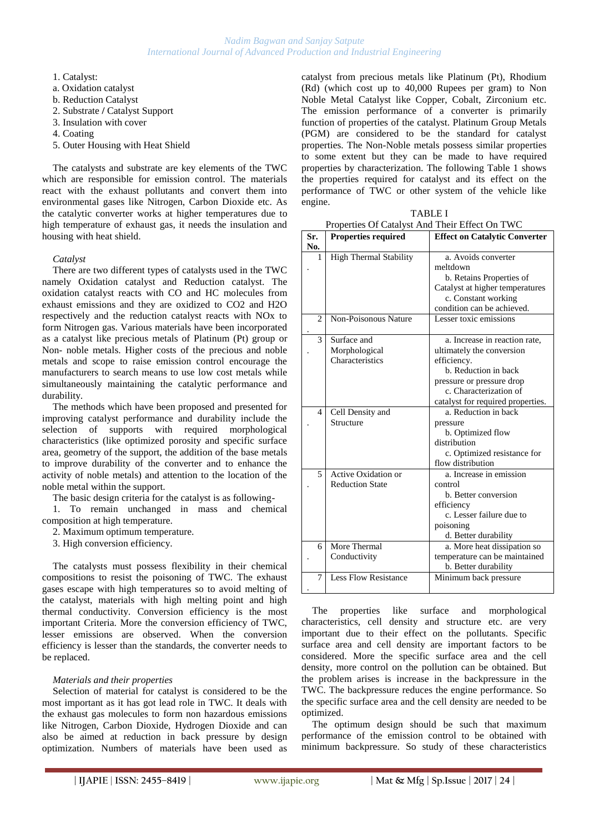- 1. Catalyst:
- a. Oxidation catalyst
- b. Reduction Catalyst
- 2. Substrate **/** Catalyst Support
- 3. Insulation with cover
- 4. Coating
- 5. Outer Housing with Heat Shield

The catalysts and substrate are key elements of the TWC which are responsible for emission control. The materials react with the exhaust pollutants and convert them into environmental gases like Nitrogen, Carbon Dioxide etc. As the catalytic converter works at higher temperatures due to high temperature of exhaust gas, it needs the insulation and housing with heat shield.

#### *Catalyst*

There are two different types of catalysts used in the TWC namely Oxidation catalyst and Reduction catalyst. The oxidation catalyst reacts with CO and HC molecules from exhaust emissions and they are oxidized to CO2 and H2O respectively and the reduction catalyst reacts with NOx to form Nitrogen gas. Various materials have been incorporated as a catalyst like precious metals of Platinum (Pt) group or Non- noble metals. Higher costs of the precious and noble metals and scope to raise emission control encourage the manufacturers to search means to use low cost metals while simultaneously maintaining the catalytic performance and durability.

The methods which have been proposed and presented for improving catalyst performance and durability include the selection of supports with required morphological characteristics (like optimized porosity and specific surface area, geometry of the support, the addition of the base metals to improve durability of the converter and to enhance the activity of noble metals) and attention to the location of the noble metal within the support.

The basic design criteria for the catalyst is as following-

1. To remain unchanged in mass and chemical composition at high temperature.

2. Maximum optimum temperature.

3. High conversion efficiency.

The catalysts must possess flexibility in their chemical compositions to resist the poisoning of TWC. The exhaust gases escape with high temperatures so to avoid melting of the catalyst, materials with high melting point and high thermal conductivity. Conversion efficiency is the most important Criteria. More the conversion efficiency of TWC, lesser emissions are observed. When the conversion efficiency is lesser than the standards, the converter needs to be replaced.

#### *Materials and their properties*

Selection of material for catalyst is considered to be the most important as it has got lead role in TWC. It deals with the exhaust gas molecules to form non hazardous emissions like Nitrogen, Carbon Dioxide, Hydrogen Dioxide and can also be aimed at reduction in back pressure by design optimization. Numbers of materials have been used as catalyst from precious metals like Platinum (Pt), Rhodium (Rd) (which cost up to 40,000 Rupees per gram) to Non Noble Metal Catalyst like Copper, Cobalt, Zirconium etc. The emission performance of a converter is primarily function of properties of the catalyst. Platinum Group Metals (PGM) are considered to be the standard for catalyst properties. The Non-Noble metals possess similar properties to some extent but they can be made to have required properties by characterization. The following Table 1 shows the properties required for catalyst and its effect on the performance of TWC or other system of the vehicle like engine.

|                | Properties Of Catalyst And Their Effect On TWC |                                      |  |  |  |
|----------------|------------------------------------------------|--------------------------------------|--|--|--|
| Sr.<br>No.     | <b>Properties required</b>                     | <b>Effect on Catalytic Converter</b> |  |  |  |
| 1              | <b>High Thermal Stability</b>                  | a. Avoids converter                  |  |  |  |
|                |                                                | meltdown                             |  |  |  |
|                |                                                | b. Retains Properties of             |  |  |  |
|                |                                                | Catalyst at higher temperatures      |  |  |  |
|                |                                                | c. Constant working                  |  |  |  |
|                |                                                | condition can be achieved.           |  |  |  |
| $\overline{c}$ | Non-Poisonous Nature                           | Lesser toxic emissions               |  |  |  |
|                |                                                |                                      |  |  |  |
| 3              | Surface and                                    | a. Increase in reaction rate,        |  |  |  |
|                | Morphological                                  | ultimately the conversion            |  |  |  |
|                | Characteristics                                | efficiency.                          |  |  |  |
|                |                                                | b. Reduction in back                 |  |  |  |
|                |                                                | pressure or pressure drop            |  |  |  |
|                |                                                | c. Characterization of               |  |  |  |
|                |                                                | catalyst for required properties.    |  |  |  |
| 4              | Cell Density and                               | a. Reduction in back                 |  |  |  |
|                | Structure                                      | pressure                             |  |  |  |
|                |                                                | b. Optimized flow                    |  |  |  |
|                |                                                | distribution                         |  |  |  |
|                |                                                | c. Optimized resistance for          |  |  |  |
|                |                                                | flow distribution                    |  |  |  |
| 5              | Active Oxidation or                            | a. Increase in emission              |  |  |  |
|                | <b>Reduction State</b>                         | control                              |  |  |  |
|                |                                                | b. Better conversion                 |  |  |  |
|                |                                                | efficiency                           |  |  |  |
|                |                                                | c. Lesser failure due to             |  |  |  |
|                |                                                | poisoning                            |  |  |  |
|                |                                                | d. Better durability                 |  |  |  |
| 6              | More Thermal                                   | a. More heat dissipation so          |  |  |  |
|                | Conductivity                                   | temperature can be maintained        |  |  |  |

TABLE I

The properties like surface and morphological characteristics, cell density and structure etc. are very important due to their effect on the pollutants. Specific surface area and cell density are important factors to be considered. More the specific surface area and the cell density, more control on the pollution can be obtained. But the problem arises is increase in the backpressure in the TWC. The backpressure reduces the engine performance. So the specific surface area and the cell density are needed to be optimized.

Less Flow Resistance | Minimum back pressure

b. Better durability

The optimum design should be such that maximum performance of the emission control to be obtained with minimum backpressure. So study of these characteristics

7 .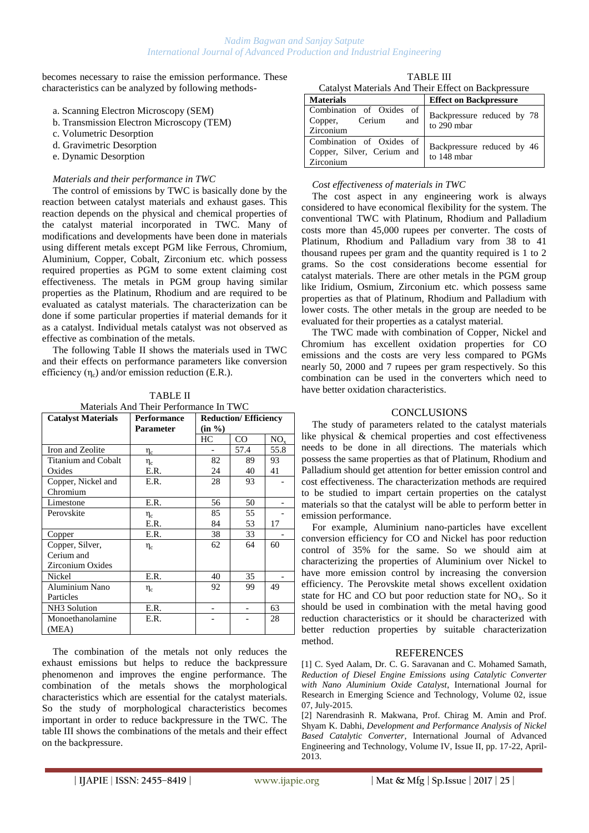becomes necessary to raise the emission performance. These characteristics can be analyzed by following methods-

- a. Scanning Electron Microscopy (SEM)
- b. Transmission Electron Microscopy (TEM)
- c. Volumetric Desorption
- d. Gravimetric Desorption
- e. Dynamic Desorption

#### *Materials and their performance in TWC*

The control of emissions by TWC is basically done by the reaction between catalyst materials and exhaust gases. This reaction depends on the physical and chemical properties of the catalyst material incorporated in TWC. Many of modifications and developments have been done in materials using different metals except PGM like Ferrous, Chromium, Aluminium, Copper, Cobalt, Zirconium etc. which possess required properties as PGM to some extent claiming cost effectiveness. The metals in PGM group having similar properties as the Platinum, Rhodium and are required to be evaluated as catalyst materials. The characterization can be done if some particular properties if material demands for it as a catalyst. Individual metals catalyst was not observed as effective as combination of the metals.

The following Table II shows the materials used in TWC and their effects on performance parameters like conversion efficiency  $(\eta_c)$  and/or emission reduction (E.R.).

TABLE II Materials And Their Performance In TWC

| <b>Catalyst Materials</b> | <b>Performance</b> | <b>Reduction/Efficiency</b> |      |          |
|---------------------------|--------------------|-----------------------------|------|----------|
|                           | Parameter          | (in %)                      |      |          |
|                           |                    | HС                          | CO.  | $NO_{x}$ |
| Iron and Zeolite          | $\eta_c$           |                             | 57.4 | 55.8     |
| Titanium and Cobalt       | $\eta_c$           | 82                          | 89   | 93       |
| Oxides                    | E.R.               | 24                          | 40   | 41       |
| Copper, Nickel and        | E.R.               | 28                          | 93   |          |
| Chromium                  |                    |                             |      |          |
| Limestone                 | E.R.               | 56                          | 50   |          |
| Perovskite                | $\eta_c$           | 85                          | 55   |          |
|                           | E.R.               | 84                          | 53   | 17       |
| Copper                    | E.R.               | 38                          | 33   |          |
| Copper, Silver,           | $\eta_c$           | 62                          | 64   | 60       |
| Cerium and                |                    |                             |      |          |
| Zirconium Oxides          |                    |                             |      |          |
| Nickel                    | E.R.               | 40                          | 35   |          |
| Aluminium Nano            | $\eta_c$           | 92                          | 99   | 49       |
| Particles                 |                    |                             |      |          |
| NH3 Solution              | E.R.               |                             |      | 63       |
| Monoethanolamine          | E.R.               |                             |      | 28       |
| (MEA)                     |                    |                             |      |          |

The combination of the metals not only reduces the exhaust emissions but helps to reduce the backpressure phenomenon and improves the engine performance. The combination of the metals shows the morphological characteristics which are essential for the catalyst materials. So the study of morphological characteristics becomes important in order to reduce backpressure in the TWC. The table III shows the combinations of the metals and their effect on the backpressure.

TABLE III Catalyst Materials And Their Effect on Backpressure

| <b>Materials</b>                                                    | <b>Effect on Backpressure</b>             |
|---------------------------------------------------------------------|-------------------------------------------|
| Combination of Oxides of<br>Cerium<br>and<br>Copper,<br>Zirconium   | Backpressure reduced by 78<br>to 290 mbar |
| Combination of Oxides of<br>Copper, Silver, Cerium and<br>Zirconium | Backpressure reduced by 46<br>to 148 mbar |

#### *Cost effectiveness of materials in TWC*

The cost aspect in any engineering work is always considered to have economical flexibility for the system. The conventional TWC with Platinum, Rhodium and Palladium costs more than 45,000 rupees per converter. The costs of Platinum, Rhodium and Palladium vary from 38 to 41 thousand rupees per gram and the quantity required is 1 to 2 grams. So the cost considerations become essential for catalyst materials. There are other metals in the PGM group like Iridium, Osmium, Zirconium etc. which possess same properties as that of Platinum, Rhodium and Palladium with lower costs. The other metals in the group are needed to be evaluated for their properties as a catalyst material.

The TWC made with combination of Copper, Nickel and Chromium has excellent oxidation properties for CO emissions and the costs are very less compared to PGMs nearly 50, 2000 and 7 rupees per gram respectively. So this combination can be used in the converters which need to have better oxidation characteristics.

## **CONCLUSIONS**

The study of parameters related to the catalyst materials like physical & chemical properties and cost effectiveness needs to be done in all directions. The materials which possess the same properties as that of Platinum, Rhodium and Palladium should get attention for better emission control and cost effectiveness. The characterization methods are required to be studied to impart certain properties on the catalyst materials so that the catalyst will be able to perform better in emission performance.

For example, Aluminium nano-particles have excellent conversion efficiency for CO and Nickel has poor reduction control of 35% for the same. So we should aim at characterizing the properties of Aluminium over Nickel to have more emission control by increasing the conversion efficiency. The Perovskite metal shows excellent oxidation state for HC and CO but poor reduction state for  $NO<sub>x</sub>$ . So it should be used in combination with the metal having good reduction characteristics or it should be characterized with better reduction properties by suitable characterization method.

## REFERENCES

[1] C. Syed Aalam, Dr. C. G. Saravanan and C. Mohamed Samath, *Reduction of Diesel Engine Emissions using Catalytic Converter with Nano Aluminium Oxide Catalyst*, International Journal for Research in Emerging Science and Technology, Volume 02, issue 07, July-2015.

[2] Narendrasinh R. Makwana, Prof. Chirag M. Amin and Prof. Shyam K. Dabhi, *Development and Performance Analysis of Nickel Based Catalytic Converter*, International Journal of Advanced Engineering and Technology, Volume IV, Issue II, pp. 17-22, April-2013.